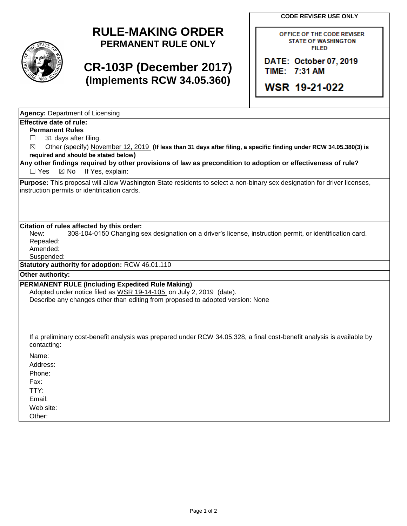**CODE REVISER USE ONLY**



# **RULE-MAKING ORDER PERMANENT RULE ONLY**

# **CR-103P (December 2017) (Implements RCW 34.05.360)**

OFFICE OF THE CODE REVISER **STATE OF WASHINGTON FILED** 

DATE: October 07, 2019 TIME: 7:31 AM

WSR 19-21-022

| <b>Agency: Department of Licensing</b> |  |  |  |  |  |
|----------------------------------------|--|--|--|--|--|
| Effective date of rule:                |  |  |  |  |  |
|                                        |  |  |  |  |  |

**Permanent Rules**

 $\Box$  31 days after filing.

☒ Other (specify) November 12, 2019 **(If less than 31 days after filing, a specific finding under RCW 34.05.380(3) is required and should be stated below)**

**Any other findings required by other provisions of law as precondition to adoption or effectiveness of rule?** □ Yes ⊠ No If Yes, explain:

**Purpose:** This proposal will allow Washington State residents to select a non-binary sex designation for driver licenses, instruction permits or identification cards.

#### **Citation of rules affected by this order:**

New: 308-104-0150 Changing sex designation on a driver's license, instruction permit, or identification card. Repealed:

Amended:

Suspended:

**Statutory authority for adoption:** RCW 46.01.110

### **Other authority:**

#### **PERMANENT RULE (Including Expedited Rule Making)**

Adopted under notice filed as WSR 19-14-105 on July 2, 2019 (date). Describe any changes other than editing from proposed to adopted version: None

If a preliminary cost-benefit analysis was prepared under RCW 34.05.328, a final cost-benefit analysis is available by contacting:

Name:

Address:

Phone:

Fax:

TTY: Email:

Web site:

Other: